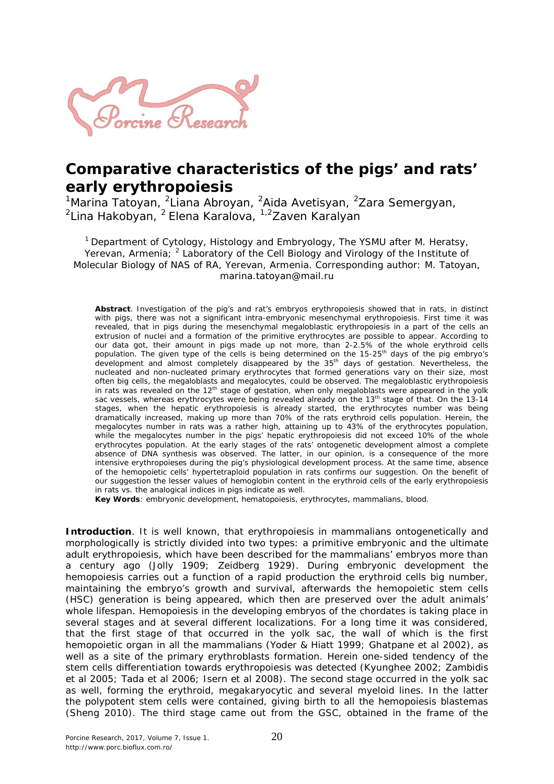

## **Comparative characteristics of the pigs' and rats' early erythropoiesis**

<sup>1</sup>Marina Tatoyan, <sup>2</sup>Liana Abroyan, <sup>2</sup>Aida Avetisyan, <sup>2</sup>Zara Semergyan, <sup>2</sup>Lina Hakobyan, <sup>2</sup> Elena Karalova, <sup>1,2</sup>Zaven Karalyan

<sup>1</sup> Department of Cytology, Histology and Embryology, The YSMU after M. Heratsy, Yerevan, Armenia; <sup>2</sup> Laboratory of the Cell Biology and Virology of the Institute of Molecular Biology of NAS of RA, Yerevan, Armenia. Corresponding author: M. Tatoyan, marina.tatoyan@mail.ru

**Abstract**. Investigation of the pig's and rat's embryos erythropoiesis showed that in rats, in distinct with pigs, there was not a significant intra-embryonic mesenchymal erythropoiesis. First time it was revealed, that in pigs during the mesenchymal megaloblastic erythropoiesis in a part of the cells an extrusion of nuclei and a formation of the primitive erythrocytes are possible to appear. According to our data got, their amount in pigs made up not more, than 2-2.5% of the whole erythroid cells population. The given type of the cells is being determined on the 15-25<sup>th</sup> days of the pig embryo's development and almost completely disappeared by the  $35<sup>th</sup>$  days of gestation. Nevertheless, the nucleated and non-nucleated primary erythrocytes that formed generations vary on their size, most often big cells, the megaloblasts and megalocytes, could be observed. The megaloblastic erythropoiesis in rats was revealed on the 12<sup>th</sup> stage of gestation, when only megaloblasts were appeared in the yolk sac vessels, whereas erythrocytes were being revealed already on the 13<sup>th</sup> stage of that. On the 13-14 stages, when the hepatic erythropoiesis is already started, the erythrocytes number was being dramatically increased, making up more than 70% of the rats erythroid cells population. Herein, the megalocytes number in rats was a rather high, attaining up to 43% of the erythrocytes population, while the megalocytes number in the pigs' hepatic erythropoiesis did not exceed 10% of the whole erythrocytes population. At the early stages of the rats' ontogenetic development almost a complete absence of DNA synthesis was observed. The latter, in our opinion, is a consequence of the more intensive erythropoieses during the pig's physiological development process. At the same time, absence of the hemopoietic cells' hypertetraploid population in rats confirms our suggestion. On the benefit of our suggestion the lesser values of hemoglobin content in the erythroid cells of the early erythropoiesis in rats vs. the analogical indices in pigs indicate as well.

**Key Words**: embryonic development, hematopoiesis, erythrocytes, mammalians, blood.

**Introduction**. It is well known, that erythropoiesis in mammalians ontogenetically and morphologically is strictly divided into two types: a primitive embryonic and the ultimate adult erythropoiesis, which have been described for the mammalians' embryos more than a century ago (Jolly 1909; Zeidberg 1929). During embryonic development the hemopoiesis carries out a function of a rapid production the erythroid cells big number, maintaining the embryo's growth and survival, afterwards the hemopoietic stem cells (HSC) generation is being appeared, which then are preserved over the adult animals' whole lifespan. Hemopoiesis in the developing embryos of the chordates is taking place in several stages and at several different localizations. For a long time it was considered, that the first stage of that occurred in the yolk sac, the wall of which is the first hemopoietic organ in all the mammalians (Yoder & Hiatt 1999; Ghatpane et al 2002), as well as a site of the primary erythroblasts formation. Herein one-sided tendency of the stem cells differentiation towards erythropoiesis was detected (Kyunghee 2002; Zambidis et al 2005; Tada et al 2006; Isern et al 2008). The second stage occurred in the yolk sac as well, forming the erythroid, megakaryocytic and several myeloid lines. In the latter the polypotent stem cells were contained, giving birth to all the hemopoiesis blastemas (Sheng 2010). The third stage came out from the GSC, obtained in the frame of the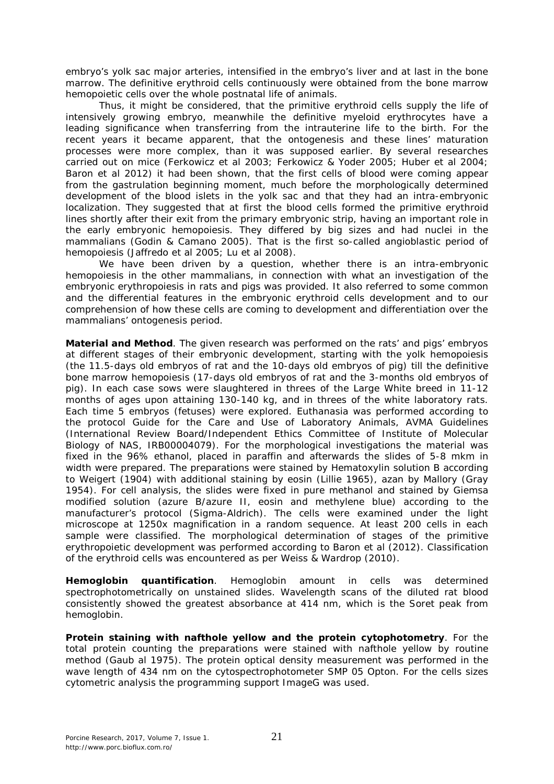embryo's yolk sac major arteries, intensified in the embryo's liver and at last in the bone marrow. The definitive erythroid cells continuously were obtained from the bone marrow hemopoietic cells over the whole postnatal life of animals.

Thus, it might be considered, that the primitive erythroid cells supply the life of intensively growing embryo, meanwhile the definitive myeloid erythrocytes have a leading significance when transferring from the intrauterine life to the birth. For the recent years it became apparent, that the ontogenesis and these lines' maturation processes were more complex, than it was supposed earlier. By several researches carried out on mice (Ferkowicz et al 2003; Ferkowicz & Yoder 2005; Huber et al 2004; Baron et al 2012) it had been shown, that the first cells of blood were coming appear from the gastrulation beginning moment, much before the morphologically determined development of the blood islets in the yolk sac and that they had an intra-embryonic localization. They suggested that at first the blood cells formed the primitive erythroid lines shortly after their exit from the primary embryonic strip, having an important role in the early embryonic hemopoiesis. They differed by big sizes and had nuclei in the mammalians (Godin & Camano 2005). That is the first so-called angioblastic period of hemopoiesis (Jaffredo et al 2005; Lu et al 2008).

We have been driven by a question, whether there is an intra-embryonic hemopoiesis in the other mammalians, in connection with what an investigation of the embryonic erythropoiesis in rats and pigs was provided. It also referred to some common and the differential features in the embryonic erythroid cells development and to our comprehension of how these cells are coming to development and differentiation over the mammalians' ontogenesis period.

**Material and Method**. The given research was performed on the rats' and pigs' embryos at different stages of their embryonic development, starting with the yolk hemopoiesis (the 11.5-days old embryos of rat and the 10-days old embryos of pig) till the definitive bone marrow hemopoiesis (17-days old embryos of rat and the 3-months old embryos of pig). In each case sows were slaughtered in threes of the Large White breed in 11-12 months of ages upon attaining 130-140 kg, and in threes of the white laboratory rats. Each time 5 embryos (fetuses) were explored. Euthanasia was performed according to the protocol Guide for the Care and Use of Laboratory Animals, AVMA Guidelines (International Review Board/Independent Ethics Committee of Institute of Molecular Biology of NAS, IRB00004079). For the morphological investigations the material was fixed in the 96% ethanol, placed in paraffin and afterwards the slides of 5-8 mkm in width were prepared. The preparations were stained by Hematoxylin solution B according to Weigert (1904) with additional staining by eosin (Lillie 1965), azan by Mallory (Gray 1954). For cell analysis, the slides were fixed in pure methanol and stained by Giemsa modified solution (azure B/azure II, eosin and methylene blue) according to the manufacturer's protocol (Sigma-Aldrich). The cells were examined under the light microscope at 1250x magnification in a random sequence. At least 200 cells in each sample were classified. The morphological determination of stages of the primitive erythropoietic development was performed according to Baron et al (2012). Classification of the erythroid cells was encountered as per Weiss & Wardrop (2010).

*Hemoglobin quantification*. Hemoglobin amount in cells was determined spectrophotometrically on unstained slides. Wavelength scans of the diluted rat blood consistently showed the greatest absorbance at 414 nm, which is the Soret peak from hemoglobin.

*Protein staining with nafthole yellow and the protein cytophotometry*. For the total protein counting the preparations were stained with nafthole yellow by routine method (Gaub al 1975). The protein optical density measurement was performed in the wave length of 434 nm on the cytospectrophotometer SMP 05 Opton. For the cells sizes cytometric analysis the programming support ImageG was used.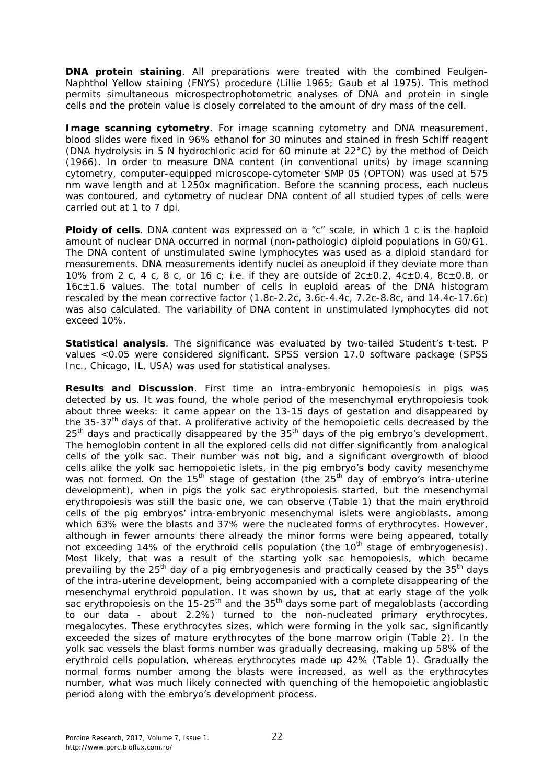*DNA protein staining*. All preparations were treated with the combined Feulgen-Naphthol Yellow staining (FNYS) procedure (Lillie 1965; Gaub et al 1975). This method permits simultaneous microspectrophotometric analyses of DNA and protein in single cells and the protein value is closely correlated to the amount of dry mass of the cell.

*Image scanning cytometry*. For image scanning cytometry and DNA measurement, blood slides were fixed in 96% ethanol for 30 minutes and stained in fresh Schiff reagent (DNA hydrolysis in 5 N hydrochloric acid for 60 minute at 22°C) by the method of Deich (1966). In order to measure DNA content (in conventional units) by image scanning cytometry, computer-equipped microscope-cytometer SMP 05 (OPTON) was used at 575 nm wave length and at 1250x magnification. Before the scanning process, each nucleus was contoured, and cytometry of nuclear DNA content of all studied types of cells were carried out at 1 to 7 dpi.

**Ploidy of cells**. DNA content was expressed on a "c" scale, in which 1 c is the haploid amount of nuclear DNA occurred in normal (non-pathologic) diploid populations in G0/G1. The DNA content of unstimulated swine lymphocytes was used as a diploid standard for measurements. DNA measurements identify nuclei as aneuploid if they deviate more than 10% from 2 c, 4 c, 8 c, or 16 c; i.e. if they are outside of  $2c \pm 0.2$ ,  $4c \pm 0.4$ ,  $8c \pm 0.8$ , or 16c±1.6 values. The total number of cells in euploid areas of the DNA histogram rescaled by the mean corrective factor (1.8c-2.2c, 3.6c-4.4c, 7.2c-8.8c, and 14.4c-17.6c) was also calculated. The variability of DNA content in unstimulated lymphocytes did not exceed 10%.

*Statistical analysis*. The significance was evaluated by two-tailed Student's t-test. P values <0.05 were considered significant. SPSS version 17.0 software package (SPSS Inc., Chicago, IL, USA) was used for statistical analyses.

**Results and Discussion**. First time an intra-embryonic hemopoiesis in pigs was detected by us. It was found, the whole period of the mesenchymal erythropoiesis took about three weeks: it came appear on the 13-15 days of gestation and disappeared by the 35-37<sup>th</sup> days of that. A proliferative activity of the hemopoietic cells decreased by the  $25<sup>th</sup>$  days and practically disappeared by the  $35<sup>th</sup>$  days of the pig embryo's development. The hemoglobin content in all the explored cells did not differ significantly from analogical cells of the yolk sac. Their number was not big, and a significant overgrowth of blood cells alike the yolk sac hemopoietic islets, in the pig embryo's body cavity mesenchyme was not formed. On the  $15<sup>th</sup>$  stage of gestation (the  $25<sup>th</sup>$  day of embryo's intra-uterine development), when in pigs the yolk sac erythropoiesis started, but the mesenchymal erythropoiesis was still the basic one, we can observe (Table 1) that the main erythroid cells of the pig embryos' intra-embryonic mesenchymal islets were angioblasts, among which 63% were the blasts and 37% were the nucleated forms of erythrocytes. However, although in fewer amounts there already the minor forms were being appeared, totally not exceeding 14% of the erythroid cells population (the  $10<sup>th</sup>$  stage of embryogenesis). Most likely, that was a result of the starting yolk sac hemopoiesis, which became prevailing by the  $25<sup>th</sup>$  day of a pig embryogenesis and practically ceased by the  $35<sup>th</sup>$  days of the intra-uterine development, being accompanied with a complete disappearing of the mesenchymal erythroid population. It was shown by us, that at early stage of the yolk sac erythropoiesis on the  $15-25$ <sup>th</sup> and the  $35$ <sup>th</sup> days some part of megaloblasts (according to our data - about 2.2%) turned to the non-nucleated primary erythrocytes, megalocytes. These erythrocytes sizes, which were forming in the yolk sac, significantly exceeded the sizes of mature erythrocytes of the bone marrow origin (Table 2). In the yolk sac vessels the blast forms number was gradually decreasing, making up 58% of the erythroid cells population, whereas erythrocytes made up 42% (Table 1). Gradually the normal forms number among the blasts were increased, as well as the erythrocytes number, what was much likely connected with quenching of the hemopoietic angioblastic period along with the embryo's development process.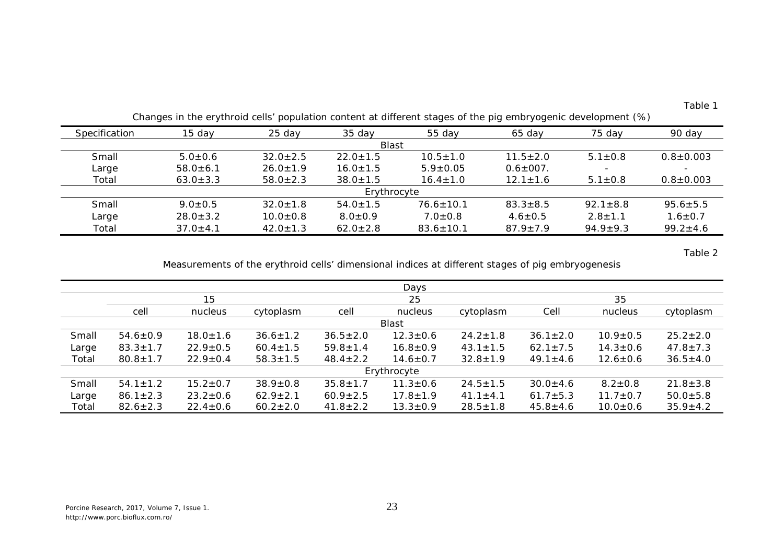| able |  |
|------|--|
|------|--|

| Specification | 15 day         | $25$ day       | 35 day         | 55 day          | 65 day          | 75 day         | 90 day          |
|---------------|----------------|----------------|----------------|-----------------|-----------------|----------------|-----------------|
|               |                |                | <b>Blast</b>   |                 |                 |                |                 |
| Small         | $5.0 \pm 0.6$  | $32.0 \pm 2.5$ | $22.0 \pm 1.5$ | $10.5 \pm 1.0$  | $11.5 \pm 2.0$  | $5.1 \pm 0.8$  | $0.8 \pm 0.003$ |
| Large         | $58.0 \pm 6.1$ | $26.0 \pm 1.9$ | $16.0 \pm 1.5$ | $5.9 \pm 0.05$  | $0.6 \pm 007$ . |                |                 |
| Total         | $63.0 \pm 3.3$ | $58.0 \pm 2.3$ | $38.0 \pm 1.5$ | $16.4 \pm 1.0$  | $12.1 \pm 1.6$  | $5.1 \pm 0.8$  | $0.8 \pm 0.003$ |
|               |                |                | Erythrocyte    |                 |                 |                |                 |
| Small         | $9.0 \pm 0.5$  | $32.0 \pm 1.8$ | $54.0 \pm 1.5$ | $76.6 \pm 10.1$ | $83.3 \pm 8.5$  | $92.1 \pm 8.8$ | $95.6 \pm 5.5$  |
| Large         | $28.0 \pm 3.2$ | $10.0 \pm 0.8$ | $8.0 \pm 0.9$  | $7.0 \pm 0.8$   | $4.6 \pm 0.5$   | $2.8 \pm 1.1$  | $1.6 \pm 0.7$   |
| Total         | $37.0 \pm 4.1$ | $42.0 \pm 1.3$ | $62.0 \pm 2.8$ | $83.6 \pm 10.1$ | $87.9 \pm 7.9$  | $94.9 \pm 9.3$ | $99.2 \pm 4.6$  |

Changes in the erythroid cells' population content at different stages of the pig embryogenic development (%)

Table 2

Measurements of the erythroid cells' dimensional indices at different stages of pig embryogenesis

|             |                |                |                |                | Days           |                |                |                |                |
|-------------|----------------|----------------|----------------|----------------|----------------|----------------|----------------|----------------|----------------|
|             |                | 15             |                |                | 25             |                |                | 35             |                |
|             | cell           | nucleus        | cytoplasm      | cell           | nucleus        | cytoplasm      | Cell           | nucleus        | cytoplasm      |
|             |                |                |                |                | <b>Blast</b>   |                |                |                |                |
| Small       | $54.6 \pm 0.9$ | $18.0 \pm 1.6$ | $36.6 \pm 1.2$ | $36.5 \pm 2.0$ | $12.3 \pm 0.6$ | $24.2 \pm 1.8$ | $36.1 \pm 2.0$ | $10.9 \pm 0.5$ | $25.2 \pm 2.0$ |
| Large       | $83.3 \pm 1.7$ | $22.9 \pm 0.5$ | $60.4 \pm 1.5$ | $59.8 \pm 1.4$ | $16.8 \pm 0.9$ | $43.1 \pm 1.5$ | $62.1 \pm 7.5$ | $14.3 \pm 0.6$ | $47.8 \pm 7.3$ |
| Total       | $80.8 \pm 1.7$ | $22.9 \pm 0.4$ | $58.3 \pm 1.5$ | $48.4 \pm 2.2$ | $14.6 \pm 0.7$ | $32.8 \pm 1.9$ | $49.1 \pm 4.6$ | $12.6 \pm 0.6$ | $36.5 \pm 4.0$ |
| Erythrocyte |                |                |                |                |                |                |                |                |                |
| Small       | $54.1 \pm 1.2$ | $15.2 \pm 0.7$ | $38.9 \pm 0.8$ | $35.8 \pm 1.7$ | $11.3 \pm 0.6$ | $24.5 \pm 1.5$ | $30.0 \pm 4.6$ | $8.2 \pm 0.8$  | $21.8 \pm 3.8$ |
| Large       | $86.1 \pm 2.3$ | $23.2 \pm 0.6$ | $62.9 \pm 2.1$ | $60.9 \pm 2.5$ | $17.8 \pm 1.9$ | $41.1 \pm 4.1$ | $61.7 \pm 5.3$ | $11.7 \pm 0.7$ | $50.0 \pm 5.8$ |
| Total       | $82.6 \pm 2.3$ | $22.4 \pm 0.6$ | $60.2 \pm 2.0$ | $41.8 \pm 2.2$ | $13.3 \pm 0.9$ | $28.5 \pm 1.8$ | $45.8 \pm 4.6$ | $10.0 \pm 0.6$ | $35.9 \pm 4.2$ |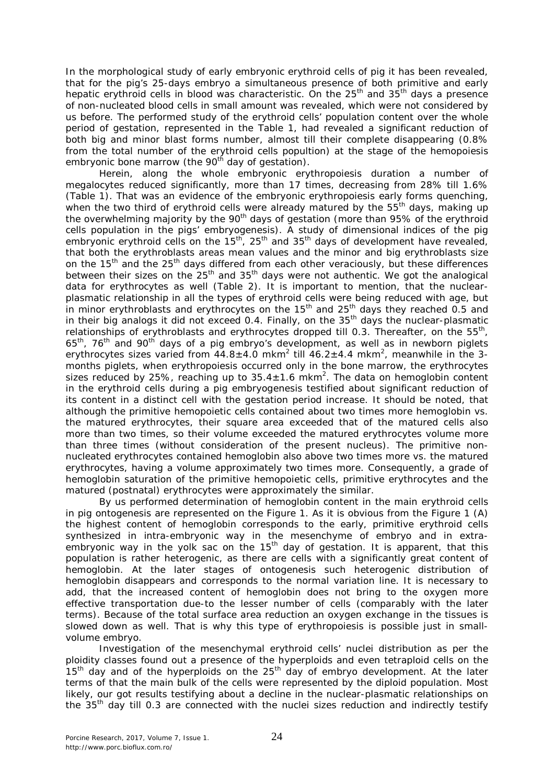In the morphological study of early embryonic erythroid cells of pig it has been revealed, that for the pig's 25-days embryo a simultaneous presence of both primitive and early hepatic erythroid cells in blood was characteristic. On the 25<sup>th</sup> and 35<sup>th</sup> days a presence of non-nucleated blood cells in small amount was revealed, which were not considered by us before. The performed study of the erythroid cells' population content over the whole period of gestation, represented in the Table 1, had revealed a significant reduction of both big and minor blast forms number, almost till their complete disappearing (0.8% from the total number of the erythroid cells popultion) at the stage of the hemopoiesis embryonic bone marrow (the 90<sup>th</sup> day of gestation).

Herein, along the whole embryonic erythropoiesis duration a number of megalocytes reduced significantly, more than 17 times, decreasing from 28% till 1.6% (Table 1). That was an evidence of the embryonic erythropoiesis early forms quenching, when the two third of erythroid cells were already matured by the  $55<sup>th</sup>$  days, making up the overwhelming majority by the  $90<sup>th</sup>$  days of gestation (more than  $95%$  of the erythroid cells population in the pigs' embryogenesis). A study of dimensional indices of the pig embryonic erythroid cells on the  $15<sup>th</sup>$ , 25<sup>th</sup> and 35<sup>th</sup> days of development have revealed, that both the erythroblasts areas mean values and the minor and big erythroblasts size on the  $15<sup>th</sup>$  and the  $25<sup>th</sup>$  days differed from each other veraciously, but these differences between their sizes on the  $25<sup>th</sup>$  and  $35<sup>th</sup>$  days were not authentic. We got the analogical data for erythrocytes as well (Table 2). It is important to mention, that the nuclearplasmatic relationship in all the types of erythroid cells were being reduced with age, but in minor erythroblasts and erythrocytes on the  $15<sup>th</sup>$  and  $25<sup>th</sup>$  days they reached 0.5 and in their big analogs it did not exceed 0.4. Finally, on the  $35<sup>th</sup>$  days the nuclear-plasmatic relationships of erythroblasts and erythrocytes dropped till 0.3. Thereafter, on the  $55<sup>th</sup>$ ,  $65<sup>th</sup>$ , 76<sup>th</sup> and 90<sup>th</sup> days of a pig embryo's development, as well as in newborn piglets erythrocytes sizes varied from 44.8 $\pm$ 4.0 mkm<sup>2</sup> till 46.2 $\pm$ 4.4 mkm<sup>2</sup>, meanwhile in the 3months piglets, when erythropoiesis occurred only in the bone marrow, the erythrocytes sizes reduced by 25%, reaching up to 35.4 $\pm$ 1.6 mkm<sup>2</sup>. The data on hemoglobin content in the erythroid cells during a pig embryogenesis testified about significant reduction of its content in a distinct cell with the gestation period increase. It should be noted, that although the primitive hemopoietic cells contained about two times more hemoglobin vs. the matured erythrocytes, their square area exceeded that of the matured cells also more than two times, so their volume exceeded the matured erythrocytes volume more than three times (without consideration of the present nucleus). The primitive nonnucleated erythrocytes contained hemoglobin also above two times more vs. the matured erythrocytes, having a volume approximately two times more. Consequently, a grade of hemoglobin saturation of the primitive hemopoietic cells, primitive erythrocytes and the matured (postnatal) erythrocytes were approximately the similar.

By us performed determination of hemoglobin content in the main erythroid cells in pig ontogenesis are represented on the Figure 1. As it is obvious from the Figure 1 (A) the highest content of hemoglobin corresponds to the early, primitive erythroid cells synthesized in intra-embryonic way in the mesenchyme of embryo and in extraembryonic way in the yolk sac on the  $15<sup>th</sup>$  day of gestation. It is apparent, that this population is rather heterogenic, as there are cells with a significantly great content of hemoglobin. At the later stages of ontogenesis such heterogenic distribution of hemoglobin disappears and corresponds to the normal variation line. It is necessary to add, that the increased content of hemoglobin does not bring to the oxygen more effective transportation due-to the lesser number of cells (comparably with the later terms). Because of the total surface area reduction an oxygen exchange in the tissues is slowed down as well. That is why this type of erythropoiesis is possible just in smallvolume embryo.

Investigation of the mesenchymal erythroid cells' nuclei distribution as per the ploidity classes found out a presence of the hyperploids and even tetraploid cells on the  $15<sup>th</sup>$  day and of the hyperploids on the  $25<sup>th</sup>$  day of embryo development. At the later terms of that the main bulk of the cells were represented by the diploid population. Most likely, our got results testifying about a decline in the nuclear-plasmatic relationships on the  $35<sup>th</sup>$  day till 0.3 are connected with the nuclei sizes reduction and indirectly testify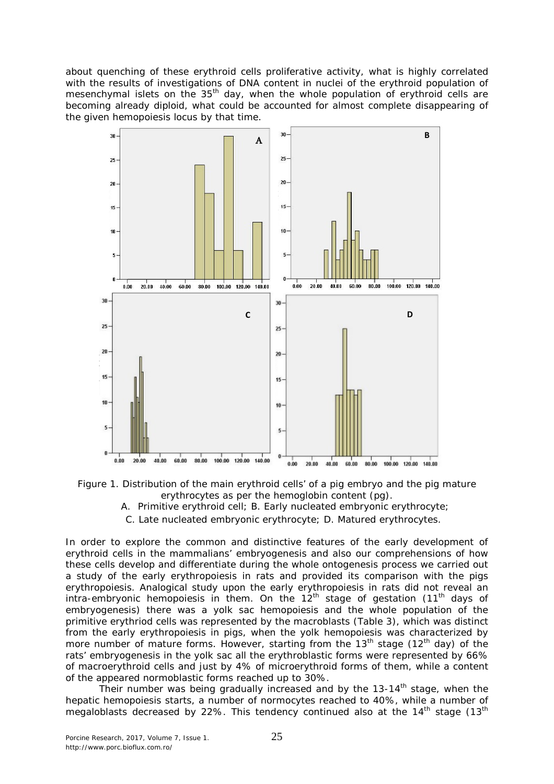about quenching of these erythroid cells proliferative activity, what is highly correlated with the results of investigations of DNA content in nuclei of the erythroid population of mesenchymal islets on the 35<sup>th</sup> day, when the whole population of erythroid cells are becoming already diploid, what could be accounted for almost complete disappearing of the given hemopoiesis locus by that time.





- A. Primitive erythroid cell; B. Early nucleated embryonic erythrocyte;
- C. Late nucleated embryonic erythrocyte; D. Matured erythrocytes.

In order to explore the common and distinctive features of the early development of erythroid cells in the mammalians' embryogenesis and also our comprehensions of how these cells develop and differentiate during the whole ontogenesis process we carried out a study of the early erythropoiesis in rats and provided its comparison with the pigs erythropoiesis. Analogical study upon the early erythropoiesis in rats did not reveal an intra-embryonic hemopoiesis in them. On the  $12^{th}$  stage of gestation (11<sup>th</sup> days of embryogenesis) there was a yolk sac hemopoiesis and the whole population of the primitive erythriod cells was represented by the macroblasts (Table 3), which was distinct from the early erythropoiesis in pigs, when the yolk hemopoiesis was characterized by more number of mature forms. However, starting from the  $13<sup>th</sup>$  stage (12<sup>th</sup> day) of the rats' embryogenesis in the yolk sac all the erythroblastic forms were represented by 66% of macroerythroid cells and just by 4% of microerythroid forms of them, while a content of the appeared normoblastic forms reached up to 30%.

Their number was being gradually increased and by the  $13-14<sup>th</sup>$  stage, when the hepatic hemopoiesis starts, a number of normocytes reached to 40%, while a number of megaloblasts decreased by 22%. This tendency continued also at the  $14<sup>th</sup>$  stage ( $13<sup>th</sup>$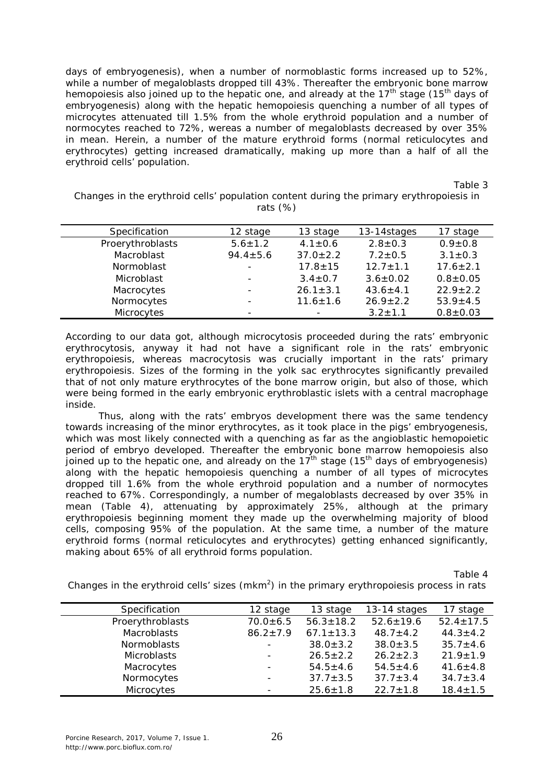days of embryogenesis), when a number of normoblastic forms increased up to 52%, while a number of megaloblasts dropped till 43%. Thereafter the embryonic bone marrow hemopoiesis also joined up to the hepatic one, and already at the  $17<sup>th</sup>$  stage (15<sup>th</sup> days of embryogenesis) along with the hepatic hemopoiesis quenching a number of all types of microcytes attenuated till 1.5% from the whole erythroid population and a number of normocytes reached to 72%, wereas a number of megaloblasts decreased by over 35% in mean. Herein, a number of the mature erythroid forms (normal reticulocytes and erythrocytes) getting increased dramatically, making up more than a half of all the erythroid cells' population.

Table 3

Changes in the erythroid cells' population content during the primary erythropoiesis in rats (%)

| Specification    | 12 stage                 | 13 stage       | 13-14stages    | 17 stage       |
|------------------|--------------------------|----------------|----------------|----------------|
| Proerythroblasts | $5.6 \pm 1.2$            | $4.1 \pm 0.6$  | $2.8 \pm 0.3$  | $0.9 \pm 0.8$  |
| Macroblast       | $94.4 \pm 5.6$           | $37.0 \pm 2.2$ | $7.2 \pm 0.5$  | $3.1 \pm 0.3$  |
| Normoblast       | $\blacksquare$           | $17.8 \pm 15$  | $12.7 \pm 1.1$ | $17.6 \pm 2.1$ |
| Microblast       | $\qquad \qquad -$        | $3.4 \pm 0.7$  | $3.6 \pm 0.02$ | $0.8 + 0.05$   |
| Macrocytes       | $\blacksquare$           | $26.1 \pm 3.1$ | $43.6 \pm 4.1$ | $22.9 \pm 2.2$ |
| Normocytes       | $\overline{\phantom{0}}$ | $11.6 \pm 1.6$ | $26.9 \pm 2.2$ | $53.9 \pm 4.5$ |
| Microcytes       | -                        |                | $3.2 \pm 1.1$  | $0.8 + 0.03$   |

According to our data got, although microcytosis proceeded during the rats' embryonic erythrocytosis, anyway it had not have a significant role in the rats' embryonic erythropoiesis, whereas macrocytosis was crucially important in the rats' primary erythropoiesis. Sizes of the forming in the yolk sac erythrocytes significantly prevailed that of not only mature erythrocytes of the bone marrow origin, but also of those, which were being formed in the early embryonic erythroblastic islets with a central macrophage inside.

Thus, along with the rats' embryos development there was the same tendency towards increasing of the minor erythrocytes, as it took place in the pigs' embryogenesis, which was most likely connected with a quenching as far as the angioblastic hemopoietic period of embryo developed. Thereafter the embryonic bone marrow hemopoiesis also joined up to the hepatic one, and already on the  $17<sup>th</sup>$  stage (15<sup>th</sup> days of embryogenesis) along with the hepatic hemopoiesis quenching a number of all types of microcytes dropped till 1.6% from the whole erythroid population and a number of normocytes reached to 67%. Correspondingly, a number of megaloblasts decreased by over 35% in mean (Table 4), attenuating by approximately 25%, although at the primary erythropoiesis beginning moment they made up the overwhelming majority of blood cells, composing 95% of the population. At the same time, a number of the mature erythroid forms (normal reticulocytes and erythrocytes) getting enhanced significantly, making about 65% of all erythroid forms population.

Table 4

Changes in the erythroid cells' sizes (mkm<sup>2</sup>) in the primary erythropoiesis process in rats

| Specification      | 12 stage                 | 13 stage        | 13-14 stages    | 17 stage        |
|--------------------|--------------------------|-----------------|-----------------|-----------------|
| Proerythroblasts   | $70.0 + 6.5$             | $56.3 \pm 18.2$ | $52.6 \pm 19.6$ | $52.4 \pm 17.5$ |
| <b>Macroblasts</b> | $86.2 \pm 7.9$           | $67.1 \pm 13.3$ | $48.7 \pm 4.2$  | $44.3 \pm 4.2$  |
| <b>Normoblasts</b> | -                        | $38.0 \pm 3.2$  | $38.0 \pm 3.5$  | $35.7 \pm 4.6$  |
| <b>Microblasts</b> |                          | $26.5 \pm 2.2$  | $26.2 \pm 2.3$  | $21.9 \pm 1.9$  |
| Macrocytes         | -                        | $54.5 \pm 4.6$  | $54.5 \pm 4.6$  | $41.6 \pm 4.8$  |
| Normocytes         |                          | $37.7 \pm 3.5$  | $37.7 \pm 3.4$  | $34.7 \pm 3.4$  |
| Microcytes         | $\overline{\phantom{0}}$ | $25.6 \pm 1.8$  | $22.7 \pm 1.8$  | $18.4 \pm 1.5$  |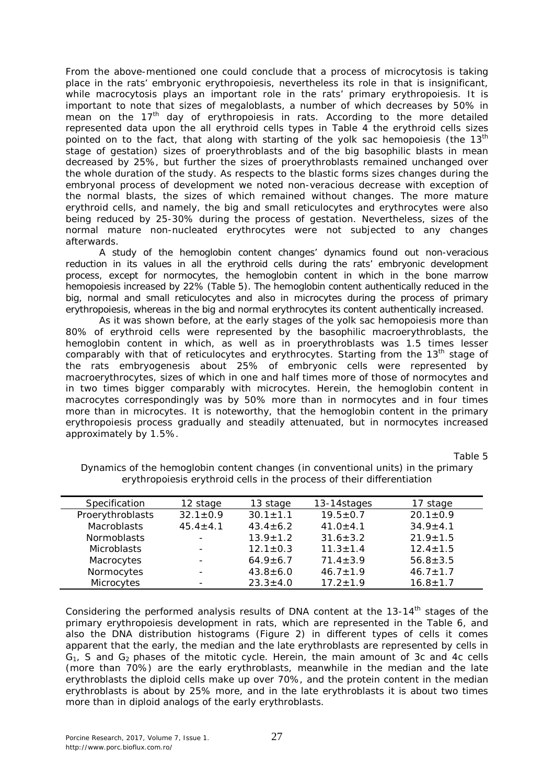From the above-mentioned one could conclude that a process of microcytosis is taking place in the rats' embryonic erythropoiesis, nevertheless its role in that is insignificant, while macrocytosis plays an important role in the rats' primary erythropoiesis. It is important to note that sizes of megaloblasts, a number of which decreases by 50% in mean on the  $17<sup>th</sup>$  day of erythropoiesis in rats. According to the more detailed represented data upon the all erythroid cells types in Table 4 the erythroid cells sizes pointed on to the fact, that along with starting of the yolk sac hemopoiesis (the  $13<sup>th</sup>$ stage of gestation) sizes of proerythroblasts and of the big basophilic blasts in mean decreased by 25%, but further the sizes of proerythroblasts remained unchanged over the whole duration of the study. As respects to the blastic forms sizes changes during the embryonal process of development we noted non-veracious decrease with exception of the normal blasts, the sizes of which remained without changes. The more mature erythroid cells, and namely, the big and small reticulocytes and erythrocytes were also being reduced by 25-30% during the process of gestation. Nevertheless, sizes of the normal mature non-nucleated erythrocytes were not subjected to any changes afterwards.

A study of the hemoglobin content changes' dynamics found out non-veracious reduction in its values in all the erythroid cells during the rats' embryonic development process, except for normocytes, the hemoglobin content in which in the bone marrow hemopoiesis increased by 22% (Table 5). The hemoglobin content authentically reduced in the big, normal and small reticulocytes and also in microcytes during the process of primary erythropoiesis, whereas in the big and normal erythrocytes its content authentically increased.

As it was shown before, at the early stages of the yolk sac hemopoiesis more than 80% of erythroid cells were represented by the basophilic macroerythroblasts, the hemoglobin content in which, as well as in proerythroblasts was 1.5 times lesser comparably with that of reticulocytes and erythrocytes. Starting from the  $13<sup>th</sup>$  stage of the rats embryogenesis about 25% of embryonic cells were represented by macroerythrocytes, sizes of which in one and half times more of those of normocytes and in two times bigger comparably with microcytes. Herein, the hemoglobin content in macrocytes correspondingly was by 50% more than in normocytes and in four times more than in microcytes. It is noteworthy, that the hemoglobin content in the primary erythropoiesis process gradually and steadily attenuated, but in normocytes increased approximately by 1.5%.

Table 5

| Specification      | 12 stage                 | 13 stage       | 13-14stages    | 17 stage       |
|--------------------|--------------------------|----------------|----------------|----------------|
| Proerythroblasts   | $32.1 \pm 0.9$           | $30.1 \pm 1.1$ | $19.5 \pm 0.7$ | $20.1 \pm 0.9$ |
| <b>Macroblasts</b> | $45.4 \pm 4.1$           | $43.4 \pm 6.2$ | $41.0 \pm 4.1$ | $34.9 + 4.1$   |
| <b>Normoblasts</b> |                          | $13.9 \pm 1.2$ | $31.6 \pm 3.2$ | $21.9 \pm 1.5$ |
| <b>Microblasts</b> | $\overline{\phantom{0}}$ | $12.1 \pm 0.3$ | $11.3 \pm 1.4$ | $12.4 \pm 1.5$ |
| Macrocytes         |                          | $64.9 \pm 6.7$ | $71.4 \pm 3.9$ | $56.8 \pm 3.5$ |
| Normocytes         |                          | $43.8 \pm 6.0$ | $46.7 \pm 1.9$ | $46.7 \pm 1.7$ |
| Microcytes         |                          | $23.3 \pm 4.0$ | $17.2 + 1.9$   | $16.8 \pm 1.7$ |

Dynamics of the hemoglobin content changes (in conventional units) in the primary erythropoiesis erythroid cells in the process of their differentiation

Considering the performed analysis results of DNA content at the 13-14<sup>th</sup> stages of the primary erythropoiesis development in rats, which are represented in the Table 6, and also the DNA distribution histograms (Figure 2) in different types of cells it comes apparent that the early, the median and the late erythroblasts are represented by cells in  $G<sub>1</sub>$ , S and  $G<sub>2</sub>$  phases of the mitotic cycle. Herein, the main amount of 3c and 4c cells (more than 70%) are the early erythroblasts, meanwhile in the median and the late erythroblasts the diploid cells make up over 70%, and the protein content in the median erythroblasts is about by 25% more, and in the late erythroblasts it is about two times more than in diploid analogs of the early erythroblasts.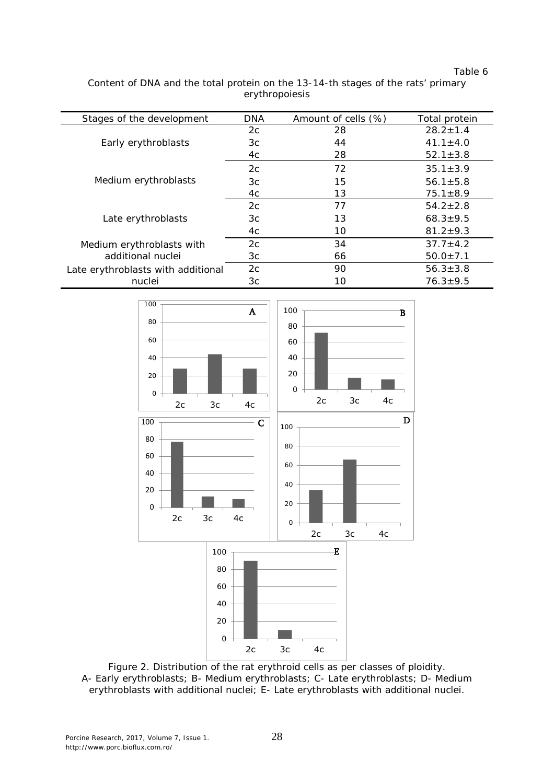Table 6

Content of DNA and the total protein on the 13-14-th stages of the rats' primary erythropoiesis

| Stages of the development          | DNA | Amount of cells (%) | Total protein  |
|------------------------------------|-----|---------------------|----------------|
|                                    | 2c  | 28                  | $28.2 + 1.4$   |
| Early erythroblasts                | Зс  | 44                  | $41.1 \pm 4.0$ |
|                                    | 4c  | 28                  | $52.1 \pm 3.8$ |
|                                    | 2c  | 72                  | $35.1 \pm 3.9$ |
| Medium erythroblasts               | Зс  | 15                  | $56.1 \pm 5.8$ |
|                                    | 4c  | 13                  | $75.1 \pm 8.9$ |
|                                    | 2c  | 77                  | $54.2 \pm 2.8$ |
| Late erythroblasts                 | Зс  | 13                  | $68.3 \pm 9.5$ |
|                                    | 4c  | 10                  | $81.2 \pm 9.3$ |
| Medium erythroblasts with          | 2c  | 34                  | $37.7 \pm 4.2$ |
| additional nuclei                  | Зс  | 66                  | $50.0 \pm 7.1$ |
| Late erythroblasts with additional | 2c  | 90                  | $56.3 \pm 3.8$ |
| nuclei                             | Зс  | 10                  | $76.3 \pm 9.5$ |



Figure 2. Distribution of the rat erythroid cells as per classes of ploidity. A- Early erythroblasts; B- Medium erythroblasts; C- Late erythroblasts; D- Medium erythroblasts with additional nuclei; E- Late erythroblasts with additional nuclei.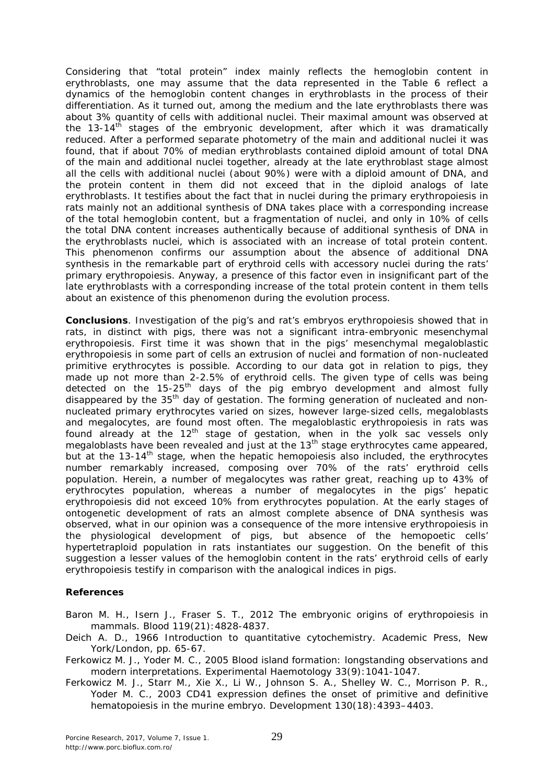Considering that "total protein" index mainly reflects the hemoglobin content in erythroblasts, one may assume that the data represented in the Table 6 reflect a dynamics of the hemoglobin content changes in erythroblasts in the process of their differentiation. As it turned out, among the medium and the late erythroblasts there was about 3% quantity of cells with additional nuclei. Their maximal amount was observed at the  $13-14^{\text{th}}$  stages of the embryonic development, after which it was dramatically reduced. After a performed separate photometry of the main and additional nuclei it was found, that if about 70% of median erythroblasts contained diploid amount of total DNA of the main and additional nuclei together, already at the late erythroblast stage almost all the cells with additional nuclei (about 90%) were with a diploid amount of DNA, and the protein content in them did not exceed that in the diploid analogs of late erythroblasts. It testifies about the fact that in nuclei during the primary erythropoiesis in rats mainly not an additional synthesis of DNA takes place with a corresponding increase of the total hemoglobin content, but a fragmentation of nuclei, and only in 10% of cells the total DNA content increases authentically because of additional synthesis of DNA in the erythroblasts nuclei, which is associated with an increase of total protein content. This phenomenon confirms our assumption about the absence of additional DNA synthesis in the remarkable part of erythroid cells with accessory nuclei during the rats' primary erythropoiesis. Anyway, a presence of this factor even in insignificant part of the late erythroblasts with a corresponding increase of the total protein content in them tells about an existence of this phenomenon during the evolution process.

**Conclusions**. Investigation of the pig's and rat's embryos erythropoiesis showed that in rats, in distinct with pigs, there was not a significant intra-embryonic mesenchymal erythropoiesis. First time it was shown that in the pigs' mesenchymal megaloblastic erythropoiesis in some part of cells an extrusion of nuclei and formation of non-nucleated primitive erythrocytes is possible. According to our data got in relation to pigs, they made up not more than 2-2.5% of erythroid cells. The given type of cells was being detected on the  $15-25<sup>th</sup>$  days of the pig embryo development and almost fully disappeared by the 35<sup>th</sup> day of gestation. The forming generation of nucleated and nonnucleated primary erythrocytes varied on sizes, however large-sized cells, megaloblasts and megalocytes, are found most often. The megaloblastic erythropoiesis in rats was found already at the  $12<sup>th</sup>$  stage of gestation, when in the yolk sac vessels only megaloblasts have been revealed and just at the 13<sup>th</sup> stage erythrocytes came appeared, but at the 13-14<sup>th</sup> stage, when the hepatic hemopoiesis also included, the erythrocytes number remarkably increased, composing over 70% of the rats' erythroid cells population. Herein, a number of megalocytes was rather great, reaching up to 43% of erythrocytes population, whereas a number of megalocytes in the pigs' hepatic erythropoiesis did not exceed 10% from erythrocytes population. At the early stages of ontogenetic development of rats an almost complete absence of DNA synthesis was observed, what in our opinion was a consequence of the more intensive erythropoiesis in the physiological development of pigs, but absence of the hemopoetic cells' hypertetraploid population in rats instantiates our suggestion. On the benefit of this suggestion a lesser values of the hemoglobin content in the rats' erythroid cells of early erythropoiesis testify in comparison with the analogical indices in pigs.

## **References**

Baron M. H., Isern J., Fraser S. T., 2012 The embryonic origins of erythropoiesis in mammals. Blood 119(21):4828-4837.

- Deich A. D., 1966 Introduction to quantitative cytochemistry. Academic Press, New York/London, pp. 65-67.
- Ferkowicz M. J., Yoder M. C., 2005 Blood island formation: longstanding observations and modern interpretations. Experimental Haemotology 33(9):1041-1047.
- Ferkowicz M. J., Starr M., Xie X., Li W., Johnson S. A., Shelley W. C., Morrison P. R., Yoder M. C., 2003 CD41 expression defines the onset of primitive and definitive hematopoiesis in the murine embryo. Development 130(18): 4393-4403.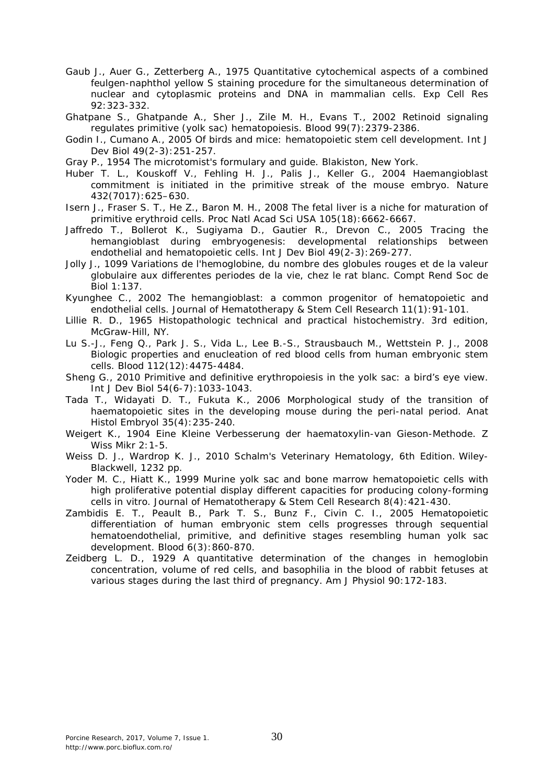- Gaub J., Auer G., Zetterberg A., 1975 Quantitative cytochemical aspects of a combined feulgen-naphthol yellow S staining procedure for the simultaneous determination of nuclear and cytoplasmic proteins and DNA in mammalian cells. Exp Cell Res 92:323-332.
- Ghatpane S., Ghatpande A., Sher J., Zile M. H., Evans T., 2002 Retinoid signaling regulates primitive (yolk sac) hematopoiesis. Blood 99(7):2379-2386.
- Godin I., Cumano A., 2005 Of birds and mice: hematopoietic stem cell development. Int J Dev Biol 49(2-3):251-257.
- Gray P., 1954 The microtomist's formulary and guide. Blakiston, New York.
- Huber T. L., Kouskoff V., Fehling H. J., Palis J., Keller G., 2004 Haemangioblast commitment is initiated in the primitive streak of the mouse embryo. Nature 432(7017):625–630.
- Isern J., Fraser S. T., He Z., Baron M. H., 2008 The fetal liver is a niche for maturation of primitive erythroid cells. Proc Natl Acad Sci USA 105(18):6662-6667.
- Jaffredo T., Bollerot K., Sugiyama D., Gautier R., Drevon C., 2005 Tracing the hemangioblast during embryogenesis: developmental relationships between endothelial and hematopoietic cells. Int J Dev Biol 49(2-3):269-277.
- Jolly J., 1099 Variations de l'hemoglobine, du nombre des globules rouges et de la valeur globulaire aux differentes periodes de la vie, chez le rat blanc. Compt Rend Soc de Biol 1:137.
- Kyunghee C., 2002 The hemangioblast: a common progenitor of hematopoietic and endothelial cells. Journal of Hematotherapy & Stem Cell Research 11(1):91-101.
- Lillie R. D., 1965 Histopathologic technical and practical histochemistry. 3rd edition, McGraw-Hill, NY.
- Lu S.-J., Feng Q., Park J. S., Vida L., Lee B.-S., Strausbauch M., Wettstein P. J., 2008 Biologic properties and enucleation of red blood cells from human embryonic stem cells. Blood 112(12):4475-4484.
- Sheng G., 2010 Primitive and definitive erythropoiesis in the yolk sac: a bird's eye view. Int J Dev Biol 54(6-7):1033-1043.
- Tada T., Widayati D. T., Fukuta K., 2006 Morphological study of the transition of haematopoietic sites in the developing mouse during the peri-natal period. Anat Histol Embryol 35(4):235-240.
- Weigert K., 1904 Eine Kleine Verbesserung der haematoxylin-van Gieson-Methode. Z Wiss Mikr 2:1-5.
- Weiss D. J., Wardrop K. J., 2010 Schalm's Veterinary Hematology, 6th Edition. Wiley-Blackwell, 1232 pp.
- Yoder M. C., Hiatt K., 1999 Murine yolk sac and bone marrow hematopoietic cells with high proliferative potential display different capacities for producing colony-forming cells in vitro. Journal of Hematotherapy & Stem Cell Research 8(4):421-430.
- Zambidis E. T., Peault B., Park T. S., Bunz F., Civin C. I., 2005 Hematopoietic differentiation of human embryonic stem cells progresses through sequential hematoendothelial, primitive, and definitive stages resembling human yolk sac development. Blood 6(3):860-870.
- Zeidberg L. D., 1929 A quantitative determination of the changes in hemoglobin concentration, volume of red cells, and basophilia in the blood of rabbit fetuses at various stages during the last third of pregnancy. Am J Physiol 90:172-183.